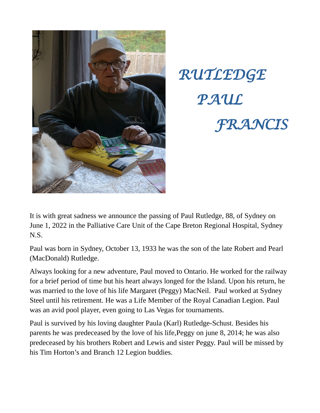



It is with great sadness we announce the passing of Paul Rutledge, 88, of Sydney on June 1, 2022 in the Palliative Care Unit of the Cape Breton Regional Hospital, Sydney N.S.

Paul was born in Sydney, October 13, 1933 he was the son of the late Robert and Pearl (MacDonald) Rutledge.

Always looking for a new adventure, Paul moved to Ontario. He worked for the railway for a brief period of time but his heart always longed for the Island. Upon his return, he was married to the love of his life Margaret (Peggy) MacNeil. Paul worked at Sydney Steel until his retirement. He was a Life Member of the Royal Canadian Legion. Paul was an avid pool player, even going to Las Vegas for tournaments.

Paul is survived by his loving daughter Paula (Karl) Rutledge-Schust. Besides his parents he was predeceased by the love of his life,Peggy on june 8, 2014; he was also predeceased by his brothers Robert and Lewis and sister Peggy. Paul will be missed by his Tim Horton's and Branch 12 Legion buddies.